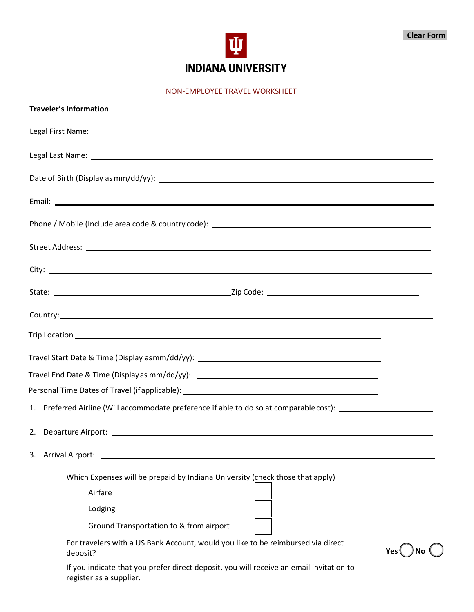

NON-EMPLOYEE TRAVEL WORKSHEET

| <b>Traveler's Information</b>                                                                                                                                                                                                  |  |  |  |  |  |
|--------------------------------------------------------------------------------------------------------------------------------------------------------------------------------------------------------------------------------|--|--|--|--|--|
| Legal First Name: Name: Name and Security and Security and Security and Security and Security and Security and                                                                                                                 |  |  |  |  |  |
| Legal Last Name: Name and Allen Contract Contract Contract Contract Contract Contract Contract Contract Contract Contract Contract Contract Contract Contract Contract Contract Contract Contract Contract Contract Contract C |  |  |  |  |  |
|                                                                                                                                                                                                                                |  |  |  |  |  |
|                                                                                                                                                                                                                                |  |  |  |  |  |
|                                                                                                                                                                                                                                |  |  |  |  |  |
|                                                                                                                                                                                                                                |  |  |  |  |  |
|                                                                                                                                                                                                                                |  |  |  |  |  |
|                                                                                                                                                                                                                                |  |  |  |  |  |
| Country: example, the country: the country: the country: the country: the country: the country: the country: the country: the country: the country: the country: the country: the country: the country: the country: the count |  |  |  |  |  |
|                                                                                                                                                                                                                                |  |  |  |  |  |
| Travel Start Date & Time (Display asmm/dd/yy): _________________________________                                                                                                                                               |  |  |  |  |  |
| Travel End Date & Time (Display as mm/dd/yy): __________________________________                                                                                                                                               |  |  |  |  |  |
| Personal Time Dates of Travel (if applicable): _________________________________                                                                                                                                               |  |  |  |  |  |
| 1. Preferred Airline (Will accommodate preference if able to do so at comparable cost): __________________                                                                                                                     |  |  |  |  |  |
|                                                                                                                                                                                                                                |  |  |  |  |  |
| 3. Arrival Airport:                                                                                                                                                                                                            |  |  |  |  |  |
| Which Expenses will be prepaid by Indiana University (check those that apply)                                                                                                                                                  |  |  |  |  |  |
| Airfare                                                                                                                                                                                                                        |  |  |  |  |  |
| Lodging                                                                                                                                                                                                                        |  |  |  |  |  |
| Ground Transportation to & from airport                                                                                                                                                                                        |  |  |  |  |  |
| For travelers with a US Bank Account, would you like to be reimbursed via direct<br>Yes $\left( \quad \right)$ No $\left($<br>deposit?                                                                                         |  |  |  |  |  |
| If you indicate that you prefer direct deposit, you will receive an email invitation to<br>register as a supplier.                                                                                                             |  |  |  |  |  |
|                                                                                                                                                                                                                                |  |  |  |  |  |